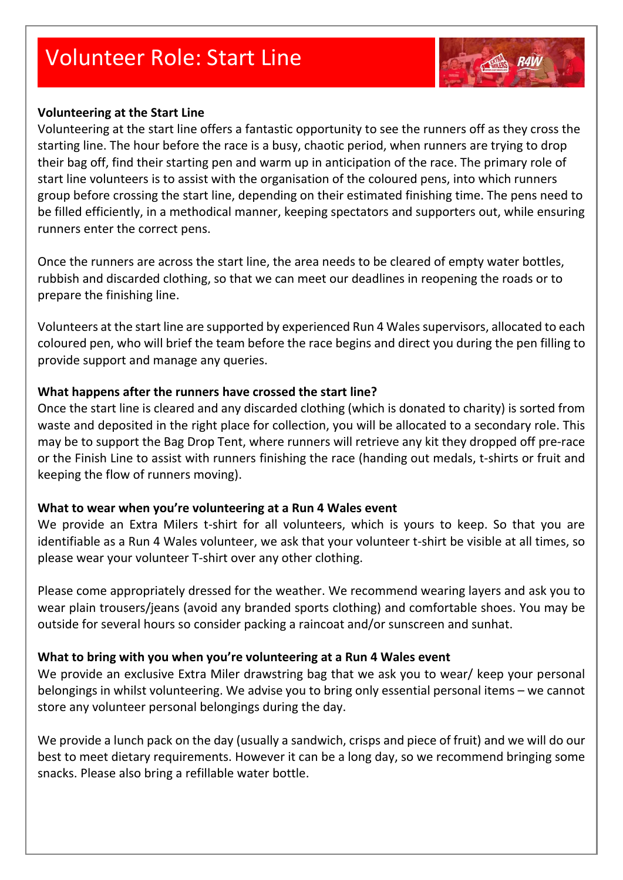# Volunteer Role: Start Line

## **Volunteering at the Start Line**

Volunteering at the start line offers a fantastic opportunity to see the runners off as they cross the starting line. The hour before the race is a busy, chaotic period, when runners are trying to drop their bag off, find their starting pen and warm up in anticipation of the race. The primary role of start line volunteers is to assist with the organisation of the coloured pens, into which runners group before crossing the start line, depending on their estimated finishing time. The pens need to be filled efficiently, in a methodical manner, keeping spectators and supporters out, while ensuring runners enter the correct pens.

Once the runners are across the start line, the area needs to be cleared of empty water bottles, rubbish and discarded clothing, so that we can meet our deadlines in reopening the roads or to prepare the finishing line.

Volunteers at the start line are supported by experienced Run 4 Wales supervisors, allocated to each coloured pen, who will brief the team before the race begins and direct you during the pen filling to provide support and manage any queries.

### **What happens after the runners have crossed the start line?**

Once the start line is cleared and any discarded clothing (which is donated to charity) is sorted from waste and deposited in the right place for collection, you will be allocated to a secondary role. This may be to support the Bag Drop Tent, where runners will retrieve any kit they dropped off pre-race or the Finish Line to assist with runners finishing the race (handing out medals, t-shirts or fruit and keeping the flow of runners moving).

#### **What to wear when you're volunteering at a Run 4 Wales event**

We provide an Extra Milers t-shirt for all volunteers, which is yours to keep. So that you are identifiable as a Run 4 Wales volunteer, we ask that your volunteer t-shirt be visible at all times, so please wear your volunteer T-shirt over any other clothing.

Please come appropriately dressed for the weather. We recommend wearing layers and ask you to wear plain trousers/jeans (avoid any branded sports clothing) and comfortable shoes. You may be outside for several hours so consider packing a raincoat and/or sunscreen and sunhat.

#### **What to bring with you when you're volunteering at a Run 4 Wales event**

We provide an exclusive Extra Miler drawstring bag that we ask you to wear/ keep your personal belongings in whilst volunteering. We advise you to bring only essential personal items – we cannot store any volunteer personal belongings during the day.

We provide a lunch pack on the day (usually a sandwich, crisps and piece of fruit) and we will do our best to meet dietary requirements. However it can be a long day, so we recommend bringing some snacks. Please also bring a refillable water bottle.